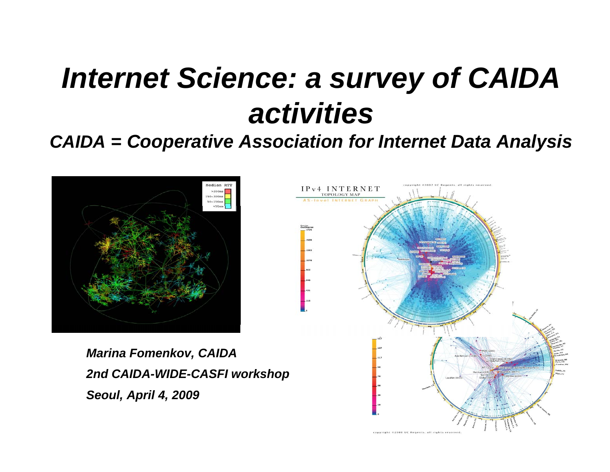#### *Internet Science: <sup>a</sup> survey of CAIDA activities*

#### *CAIDA = Cooperative Association for Internet Data Analysis*



*Marina Fomenkov, CAIDA 2nd CAIDA-WIDE-CASFI workshop Seoul, April 4, 2009*

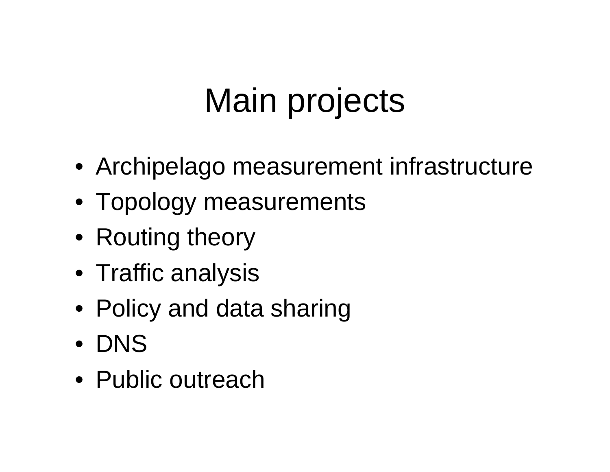## Main projects

- Archipelago measurement infrastructure
- Topology measurements
- Routing theory
- $\bullet \,$  Traffic analysis
- Policy and data sharing
- DNS
- Public outreach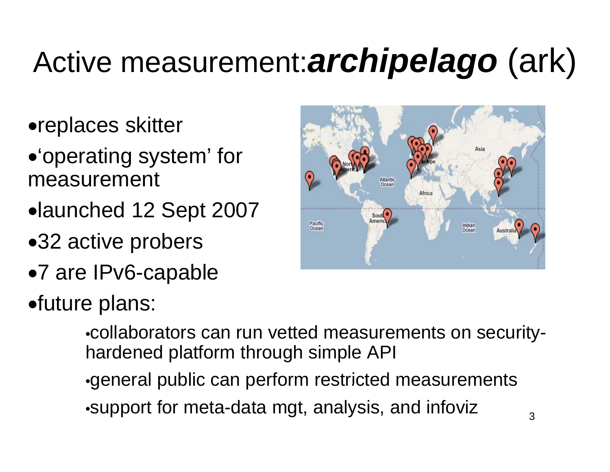# Active measurement:*archipelago* (ark)

- •replaces skitter
- •'operating system' for measurement
- •launched 12 Sept 2007
- •32 active probers
- $\bullet$ 7 are IPv6-capable
- •future plans:

Atlantic<br>Ocean Sout Pacific Indian<br>Ocean Ocean Australia

- •collaborators can run vetted measurements on securityhardened platform through simple API
- $\bullet$ general public can perform restricted measurements •support for meta-data mgt, analysis, and infoviz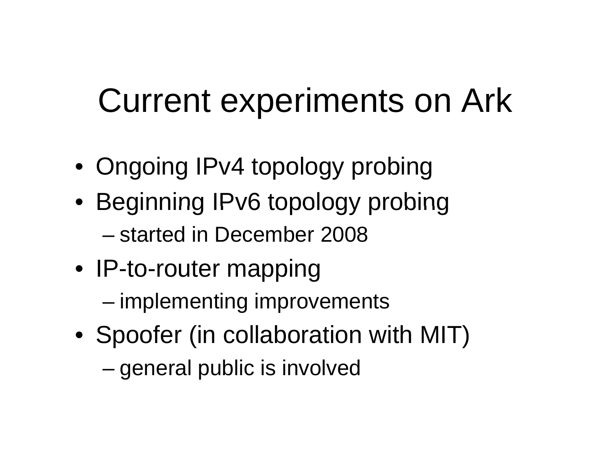## Current experiments on Ark

- Ongoing IPv4 topology probing
- $\bullet\,$  Beginning IPv6 topology probing – started in December 2008
- IP-to-router mapping
	- –implementing improvements
- Spoofer (in collaboration with MIT)
	- –general public is involved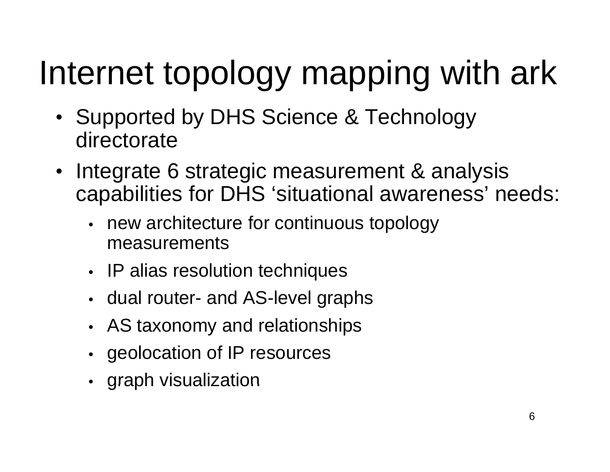# Internet topology mapping with ark

- Supported by DHS Science & Technology directorate
- Integrate 6 strategic measurement & analysis capabilities for DHS 'situational awareness' needs:
	- •• new architecture for continuous topology measurements
	- IP alias resolution techniques
	- •• dual router- and AS-level graphs
	- •• AS taxonomy and relationships
	- •• geolocation of IP resources
	- $\bullet~$  graph visualization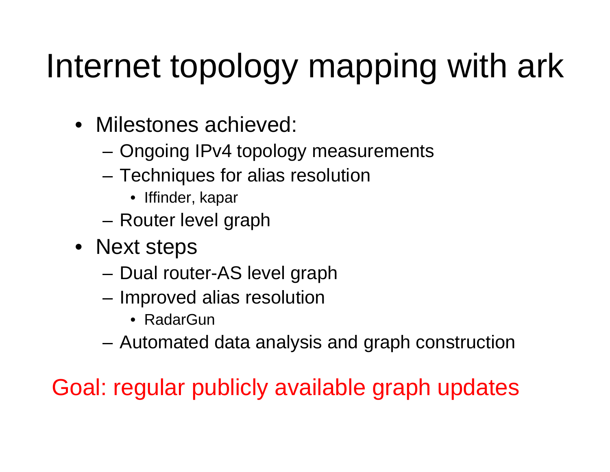# Internet topology mapping with ark

- Milestones achieved:
	- Ongoing IPv4 topology measurements
	- – Techniques for alias resolution
		- Iffinder, kapar
	- Router level graph
- Next steps
	- Dual route r AS level graph
	- Improved alias resolution
		- RadarGun
	- Automated data analysis and graph construction

Goal: regular publicly available graph updates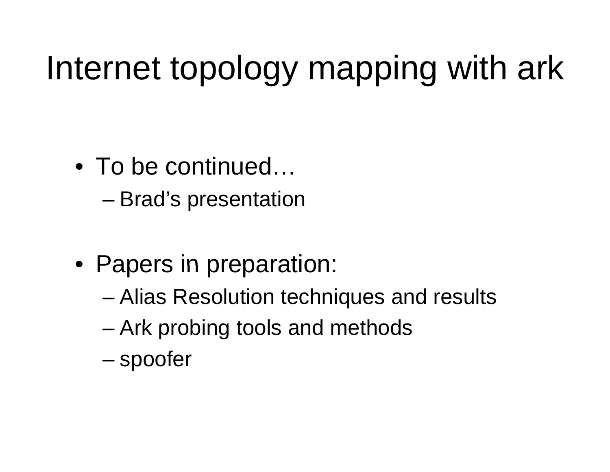# Internet topology mapping with ark

• To be continued…

– Brad's presentation

- Papers in preparation:
	- Alias Resolution techniques and results
	- –Ark probing tools and methods
	- –spoofer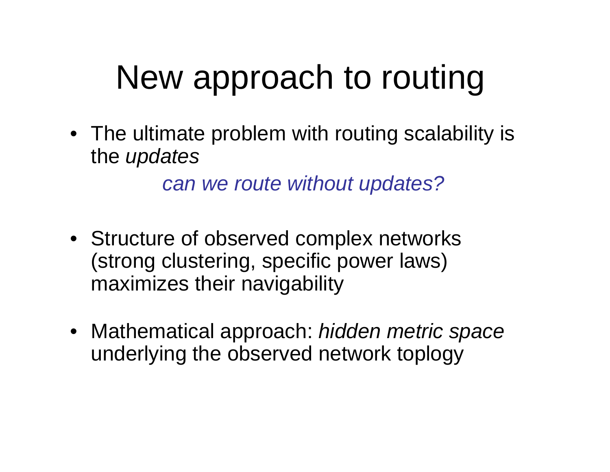## New approach to routing

• The ultimate problem with routing scalability is the *updates*

*can we route without updates?*

- Structure of observed complex networks (strong clustering, specific power laws) maximizes their navigability
- Mathematical approach: *hidden metric space* underlying the observed network toplogy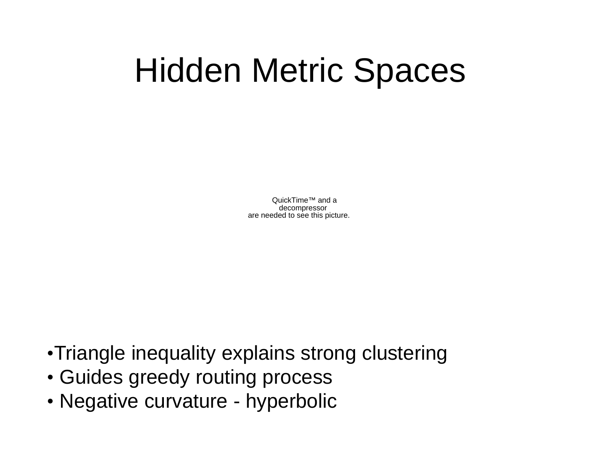#### Hidden Metric S paces

QuickTime™ and adecompressor are needed to see this picture.

- •Triangle inequality explains strong clustering
- Guides greedy routing process
- Negative curvature hyperbolic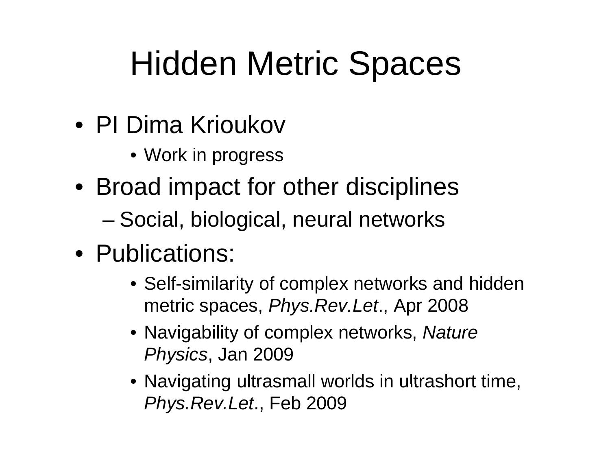# Hidden Metric Spaces

- PI Dima Krioukov
	- Work in progress
- Broad impact for other disciplines
	- –Social, biological, neural networks
- Publications:
	- Self-similarity of complex networks and hidden metric spaces, *Phys.Rev.Let*., Apr 2008
	- Navigability of complex networks, *Nature Physics*, Jan 2009
	- $\bullet$  Navigating ultrasmall worlds in ultrashort time, *Phys.Rev.Let*., Feb 2009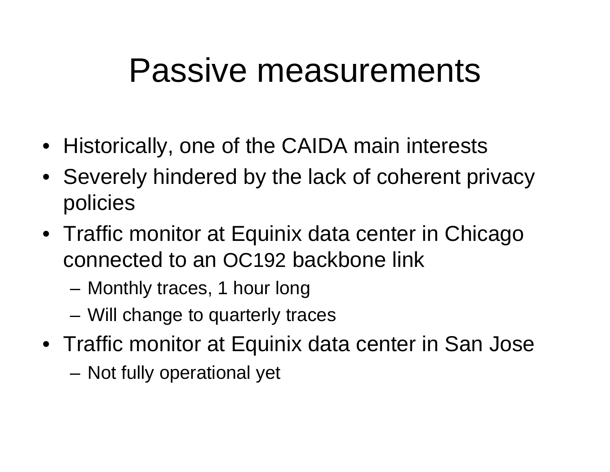#### Passive measurements

- $\bullet\,$  Historically, one of the CAIDA main interests
- Severely hindered by the lack of coherent privacy policies
- Traffic monitor at Equinix data center in Chicago connected to an OC192 backbone link
	- Monthly traces, 1 hour long
	- Will change to quarterly traces
- Traffic monitor at Equinix data center in San Jose
	- –Not fully operational yet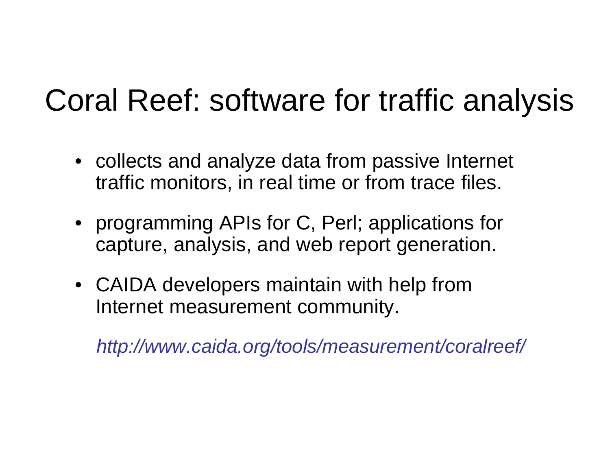#### Coral Reef: software for traffic analysis

- collects and analyze data from passive Internet traffic monitors, in real time or from trace files.
- programming APIs for C, Perl; applications for capture, analysis, and web report generation.
- CAIDA developers maintain with help from Internet measurement community.

*http://www.caida.org/tools/measurement/coralreef/*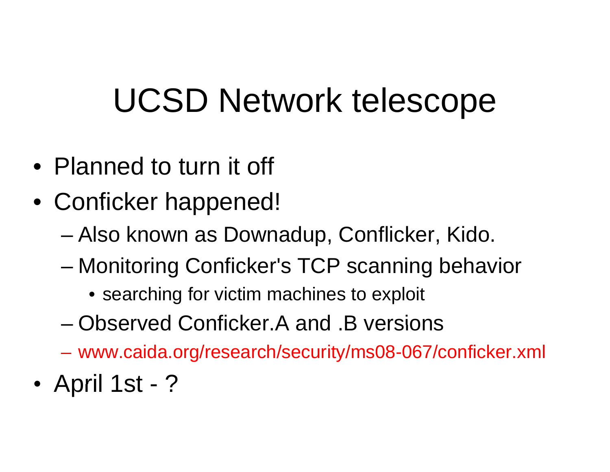## UCSD Network telescope

- Planned to turn it off
- Conficker happened!
	- –Also known as Downadup, Conflicker, Kido.
	- –– Monitoring Conficker's TCP scanning behavior
		- searching for victim machines to exploit
	- Observed Conficker A and .B versions
	- www.caida.org/research/security/ms08-067/conficker.xml
- •• April 1st - ?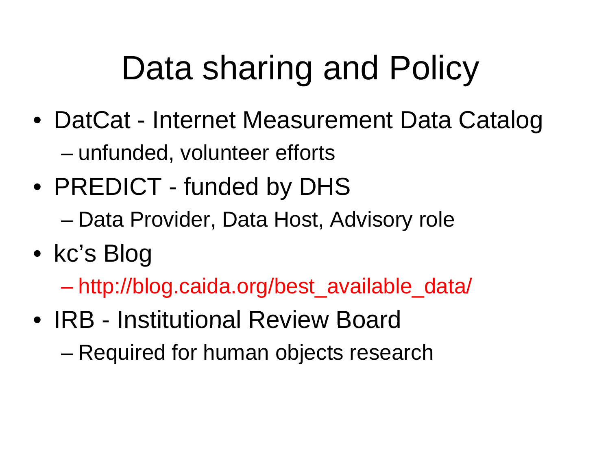# Data sharing and Policy

- DatCat Internet Measurement Data Catalog – unfunded, volunteer efforts
- PREDICT funded by DHS
	- –Data Provider, Data Host, Advisory role
- kc's Blo g
	- http://blog.caida.org/best\_available\_data/
- IRB-- Institutional Review Board
	- –Required for human objects research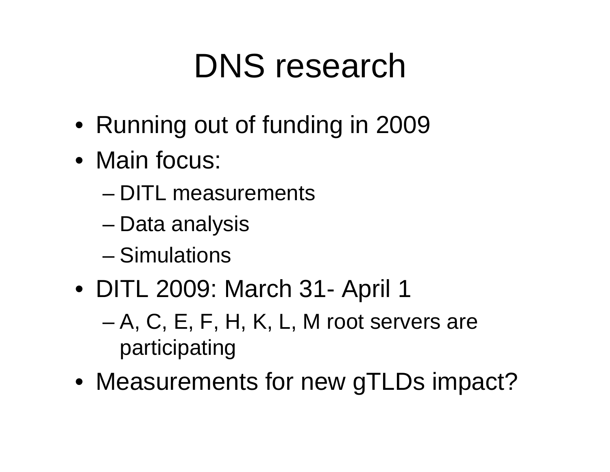# DNS research

- Running out of funding in 2009
- Main focus:
	- DITL measurements
	- –Data analysis
	- Simulations
- DITL 2009: March 31- April 1
	- $-$  A, C, E, F, H, K, L, M root servers are participating
- Measurements for new gTLDs impact?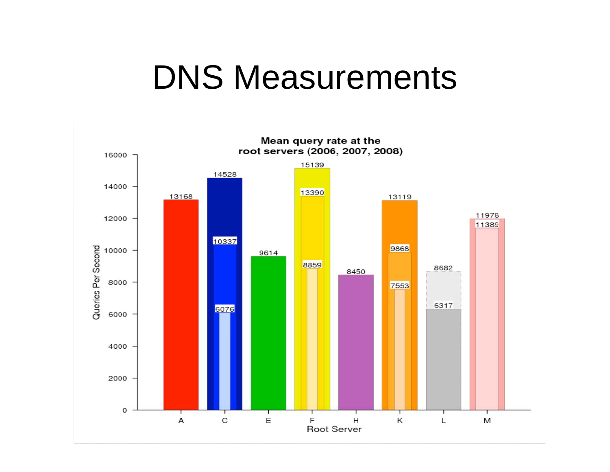#### DNS Measurements

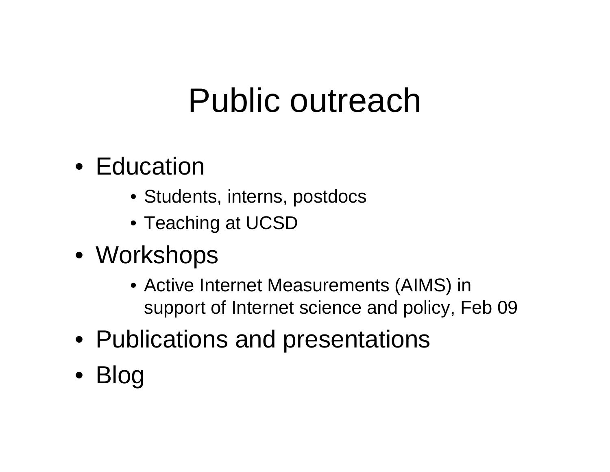### Public outreach

- Education
	- Students, interns, postdocs
	- Teaching at UCSD
- Worksho p s
	- Active Internet Measurements (AIMS) in support of Internet science and policy, Feb 09
- Publications and presentations
- Blo g